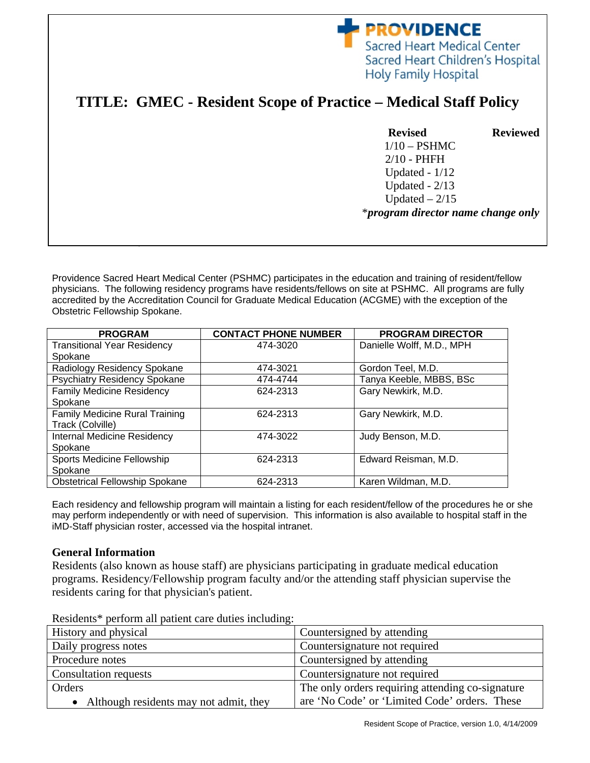## **PROVIDENCE** Sacred Heart Medical Center Sacred Heart Children's Hospital **Holy Family Hospital**

# **TITLE: GMEC - Resident Scope of Practice – Medical Staff Policy**

## **Revised Reviewed**  1/10 – PSHMC 2/10 - PHFH Updated - 1/12 Updated - 2/13

\**program director name change only*

Updated  $-2/15$ 

Providence Sacred Heart Medical Center (PSHMC) participates in the education and training of resident/fellow physicians. The following residency programs have residents/fellows on site at PSHMC. All programs are fully accredited by the Accreditation Council for Graduate Medical Education (ACGME) with the exception of the Obstetric Fellowship Spokane.

| <b>PROGRAM</b>                        | <b>CONTACT PHONE NUMBER</b> | <b>PROGRAM DIRECTOR</b>   |
|---------------------------------------|-----------------------------|---------------------------|
| <b>Transitional Year Residency</b>    | 474-3020                    | Danielle Wolff, M.D., MPH |
| Spokane                               |                             |                           |
| Radiology Residency Spokane           | 474-3021                    | Gordon Teel, M.D.         |
| <b>Psychiatry Residency Spokane</b>   | 474-4744                    | Tanya Keeble, MBBS, BSc   |
| <b>Family Medicine Residency</b>      | 624-2313                    | Gary Newkirk, M.D.        |
| Spokane                               |                             |                           |
| <b>Family Medicine Rural Training</b> | 624-2313                    | Gary Newkirk, M.D.        |
| Track (Colville)                      |                             |                           |
| Internal Medicine Residency           | 474-3022                    | Judy Benson, M.D.         |
| Spokane                               |                             |                           |
| Sports Medicine Fellowship            | 624-2313                    | Edward Reisman, M.D.      |
| Spokane                               |                             |                           |
| <b>Obstetrical Fellowship Spokane</b> | 624-2313                    | Karen Wildman, M.D.       |

Each residency and fellowship program will maintain a listing for each resident/fellow of the procedures he or she may perform independently or with need of supervision. This information is also available to hospital staff in the iMD-Staff physician roster, accessed via the hospital intranet.

#### **General Information**

**Effective Date**: April 2009

Residents (also known as house staff) are physicians participating in graduate medical education programs. Residency/Fellowship program faculty and/or the attending staff physician supervise the residents caring for that physician's patient.

| History and physical                   | Countersigned by attending                       |  |
|----------------------------------------|--------------------------------------------------|--|
| Daily progress notes                   | Countersignature not required                    |  |
| Procedure notes                        | Countersigned by attending                       |  |
| Consultation requests                  | Countersignature not required                    |  |
| Orders                                 | The only orders requiring attending co-signature |  |
| Although residents may not admit, they | are 'No Code' or 'Limited Code' orders. These    |  |

Residents\* perform all patient care duties including: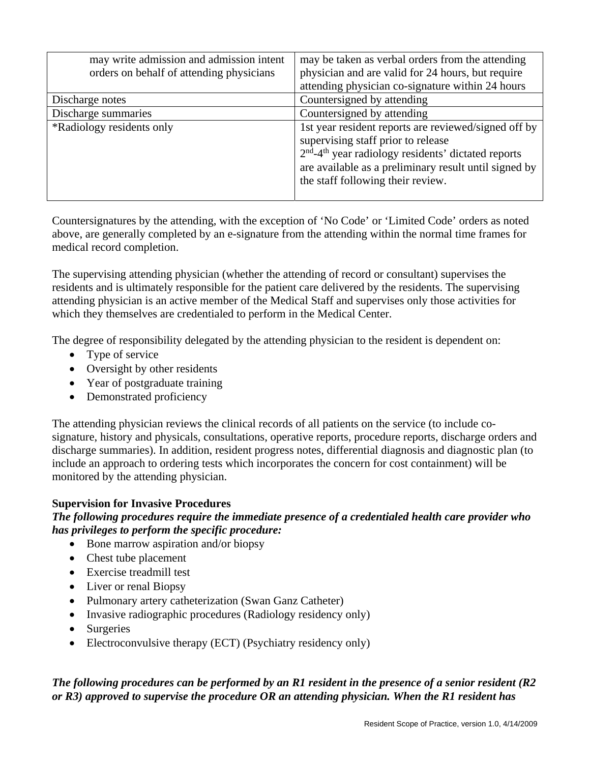| may write admission and admission intent<br>orders on behalf of attending physicians | may be taken as verbal orders from the attending<br>physician and are valid for 24 hours, but require<br>attending physician co-signature within 24 hours                                                                                                     |
|--------------------------------------------------------------------------------------|---------------------------------------------------------------------------------------------------------------------------------------------------------------------------------------------------------------------------------------------------------------|
| Discharge notes                                                                      | Countersigned by attending                                                                                                                                                                                                                                    |
| Discharge summaries                                                                  | Countersigned by attending                                                                                                                                                                                                                                    |
| *Radiology residents only                                                            | 1st year resident reports are reviewed/signed off by<br>supervising staff prior to release<br>$2nd$ -4 <sup>th</sup> year radiology residents' dictated reports<br>are available as a preliminary result until signed by<br>the staff following their review. |

Countersignatures by the attending, with the exception of 'No Code' or 'Limited Code' orders as noted above, are generally completed by an e-signature from the attending within the normal time frames for medical record completion.

The supervising attending physician (whether the attending of record or consultant) supervises the residents and is ultimately responsible for the patient care delivered by the residents. The supervising attending physician is an active member of the Medical Staff and supervises only those activities for which they themselves are credentialed to perform in the Medical Center.

The degree of responsibility delegated by the attending physician to the resident is dependent on:

- Type of service
- Oversight by other residents
- Year of postgraduate training
- Demonstrated proficiency

The attending physician reviews the clinical records of all patients on the service (to include cosignature, history and physicals, consultations, operative reports, procedure reports, discharge orders and discharge summaries). In addition, resident progress notes, differential diagnosis and diagnostic plan (to include an approach to ordering tests which incorporates the concern for cost containment) will be monitored by the attending physician.

### **Supervision for Invasive Procedures**

### *The following procedures require the immediate presence of a credentialed health care provider who has privileges to perform the specific procedure:*

- Bone marrow aspiration and/or biopsy
- Chest tube placement
- Exercise treadmill test
- Liver or renal Biopsy
- Pulmonary artery catheterization (Swan Ganz Catheter)
- Invasive radiographic procedures (Radiology residency only)
- Surgeries
- Electroconvulsive therapy (ECT) (Psychiatry residency only)

## *The following procedures can be performed by an R1 resident in the presence of a senior resident (R2 or R3) approved to supervise the procedure OR an attending physician. When the R1 resident has*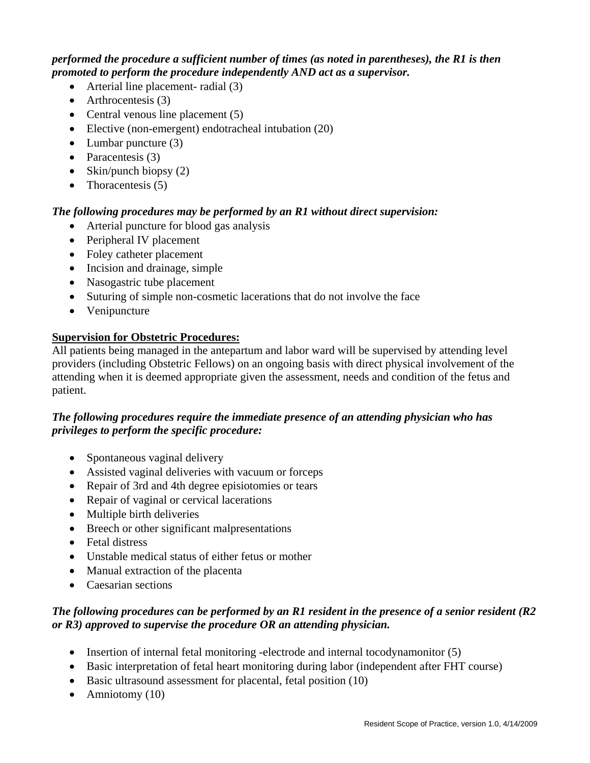#### *performed the procedure a sufficient number of times (as noted in parentheses), the R1 is then promoted to perform the procedure independently AND act as a supervisor.*

- Arterial line placement- radial (3)
- Arthrocentesis (3)
- Central venous line placement  $(5)$
- Elective (non-emergent) endotracheal intubation (20)
- $\bullet$  Lumbar puncture (3)
- Paracentesis  $(3)$
- Skin/punch biopsy  $(2)$
- Thoracentesis  $(5)$

### *The following procedures may be performed by an R1 without direct supervision:*

- Arterial puncture for blood gas analysis
- Peripheral IV placement
- Foley catheter placement
- Incision and drainage, simple
- Nasogastric tube placement
- Suturing of simple non-cosmetic lacerations that do not involve the face
- Venipuncture

### **Supervision for Obstetric Procedures:**

All patients being managed in the antepartum and labor ward will be supervised by attending level providers (including Obstetric Fellows) on an ongoing basis with direct physical involvement of the attending when it is deemed appropriate given the assessment, needs and condition of the fetus and patient.

## *The following procedures require the immediate presence of an attending physician who has privileges to perform the specific procedure:*

- Spontaneous vaginal delivery
- Assisted vaginal deliveries with vacuum or forceps
- Repair of 3rd and 4th degree episiotomies or tears
- Repair of vaginal or cervical lacerations
- Multiple birth deliveries
- Breech or other significant malpresentations
- Fetal distress
- Unstable medical status of either fetus or mother
- Manual extraction of the placenta
- Caesarian sections

## *The following procedures can be performed by an R1 resident in the presence of a senior resident (R2 or R3) approved to supervise the procedure OR an attending physician.*

- Insertion of internal fetal monitoring -electrode and internal tocodynamonitor (5)
- Basic interpretation of fetal heart monitoring during labor (independent after FHT course)
- Basic ultrasound assessment for placental, fetal position (10)
- Amniotomy  $(10)$